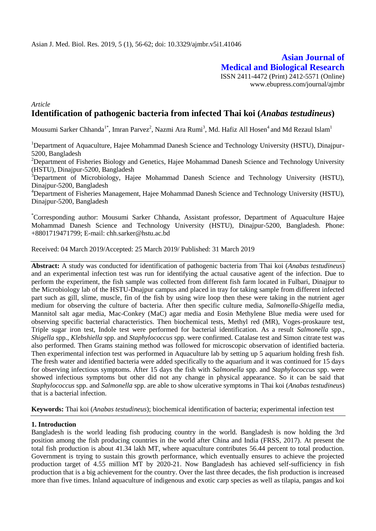# **Asian Journal of Medical and Biological Research** ISSN 2411-4472 (Print) 2412-5571 (Online)

www.ebupress.com/journal/ajmbr

## *Article* **Identification of pathogenic bacteria from infected Thai koi (***Anabas testudineus***)**

Mousumi Sarker Chhanda $^{1*}$ , Imran Parvez $^2$ , Nazmi Ara Rumi $^3$ , Md. Hafiz All Hosen $^4$  and Md Rezaul Islam $^1$ 

<sup>1</sup>Department of Aquaculture, Hajee Mohammad Danesh Science and Technology University (HSTU), Dinajpur-5200, Bangladesh

<sup>2</sup>Department of Fisheries Biology and Genetics, Hajee Mohammad Danesh Science and Technology University (HSTU), Dinajpur-5200, Bangladesh

<sup>3</sup>Department of Microbiology, Hajee Mohammad Danesh Science and Technology University (HSTU), Dinajpur-5200, Bangladesh

<sup>4</sup>Department of Fisheries Management, Hajee Mohammad Danesh Science and Technology University (HSTU), Dinajpur-5200, Bangladesh

\*Corresponding author: Mousumi Sarker Chhanda, Assistant professor, Department of Aquaculture Hajee Mohammad Danesh Science and Technology University (HSTU), Dinajpur-5200, Bangladesh. Phone: +8801719471799; E-mail: [chh.sarker@hstu.ac.bd](mailto:chh.sarker@hstu.ac.bd)

Received: 04 March 2019/Accepted: 25 March 2019/ Published: 31 March 2019

**Abstract:** A study was conducted for identification of pathogenic bacteria from Thai koi (*Anabas testudineus*) and an experimental infection test was run for identifying the actual causative agent of the infection. Due to perform the experiment, the fish sample was collected from different fish farm located in Fulbari, Dinajpur to the Microbiology lab of the HSTU-Dnajpur campus and placed in tray for taking sample from different infected part such as gill, slime, muscle, fin of the fish by using wire loop then these were taking in the nutrient ager medium for observing the culture of bacteria. After then specific culture media, *Salmonella*-*Shigella* media, Mannitol salt agar media, Mac-Conkey (MaC) agar media and Eosin Methylene Blue media were used for observing specific bacterial characteristics. Then biochemical tests, Methyl red (MR), Voges-proskaure test, Triple sugar iron test, Indole test were performed for bacterial identification. As a result *Salmonella* spp., *Shigella* spp., *Klebshiella* spp. and *Staphylococcus* spp. were confirmed. Catalase test and Simon citrate test was also performed. Then Grams staining method was followed for microscopic observation of identified bacteria. Then experimental infection test was performed in Aquaculture lab by setting up 5 aquarium holding fresh fish. The fresh water and identified bacteria were added specifically to the aquarium and it was continued for 15 days for observing infectious symptoms. After 15 days the fish with *Salmonella* spp. and *Staphylococcus* spp. were showed infectious symptoms but other did not any change in physical appearance. So it can be said that *Staphylococcus* spp. and *Salmonella* spp. are able to show ulcerative symptoms in Thai koi (*Anabas testudineus*) that is a bacterial infection.

**Keywords:** Thai koi (*Anabas testudineus*); biochemical identification of bacteria; experimental infection test

#### **1. Introduction**

Bangladesh is the world leading fish producing country in the world. Bangladesh is now holding the 3rd position among the fish producing countries in the world after China and India (FRSS, 2017). At present the total fish production is about 41.34 lakh MT, where aquaculture contributes 56.44 percent to total production. Government is trying to sustain this growth performance, which eventually ensures to achieve the projected production target of 4.55 million MT by 2020-21. Now Bangladesh has achieved self-sufficiency in fish production that is a big achievement for the country. Over the last three decades, the fish production is increased more than five times. Inland aquaculture of indigenous and exotic carp species as well as tilapia, pangas and koi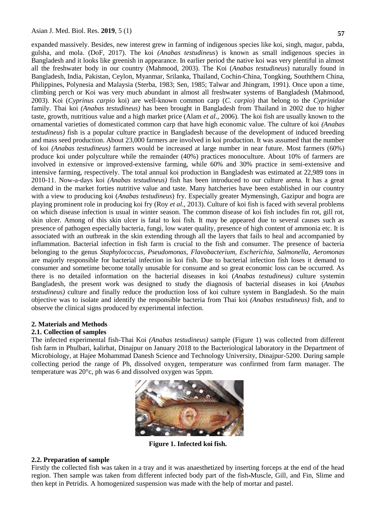expanded massively. Besides, new interest grew in farming of indigenous species like koi, singh, magur, pabda, gulsha, and mola. (DoF, 2017). The koi *(Anabas testudineus*) is known as small indigenous species in Bangladesh and it looks like greenish in appearance. In earlier period the native koi was very plentiful in almost all the freshwater body in our country (Mahmood, 2003). The Koi (*Anabas testudineus*) naturally found in Bangladesh, India, Pakistan, Ceylon, Myanmar, Srilanka, Thailand, Cochin-China, Tongking, Souththern China, Philippines, Polynesia and Malaysia (Sterba, 1983; Sen, 1985; Talwar and Jhingram, 1991). Once upon a time, climbing perch or Koi was very much abundant in almost all freshwater systems of Bangladesh (Mahmood, 2003). Koi (*Cyprinus carpio* koi) are well-known common carp (*C. carpio*) that belong to the *Cyprinidae* family. Thai koi *(Anabas testudineus)* has been brought in Bangladesh from Thailand in 2002 due to higher taste, growth, nutritious value and a high market price (Alam *et al*., 2006). The koi fish are usually known to the ornamental varieties of domesticated common carp that have high economic value. The culture of koi *(Anabas testudineus)* fish is a popular culture practice in Bangladesh because of the development of induced breeding and mass seed production. About 23,000 farmers are involved in koi production. It was assumed that the number of koi *(Anabas testudineus)* farmers would be increased at large number in near future. Most farmers (60%) produce koi under polyculture while the remainder (40%) practices monoculture. About 10% of farmers are involved in extensive or improved-extensive farming, while 60% and 30% practice in semi-extensive and intensive farming, respectively. The total annual koi production in Bangladesh was estimated at 22,989 tons in 2010-11. Now-a-days koi *(Anabas testudineus)* fish has been introduced to our culture arena. It has a great demand in the market forties nutritive value and taste. Many hatcheries have been established in our country with a view to producing koi (*Anabas testudineus*) fry. Especially greater Mymensingh, Gazipur and bogra are playing prominent role in producing koi fry (Roy *et al*., 2013). Culture of koi fish is faced with several problems on which disease infection is usual in winter season. The common disease of koi fish includes fin rot, gill rot, skin ulcer. Among of this skin ulcer is fatal to koi fish. It may be appeared due to several causes such as presence of pathogen especially bacteria, fungi, low water quality, presence of high content of ammonia etc. It is associated with an outbreak in the skin extending through all the layers that fails to heal and accompanied by inflammation. Bacterial infection in fish farm is crucial to the fish and consumer. The presence of bacteria belonging to the genus *Staphylococcus, Pseudomonas, Flavobacterium, Escherichia, Salmonella*, *Aeromonas* are majorly responsible for bacterial infection in koi fish. Due to bacterial infection fish loses it demand to consumer and sometime become totally unusable for consume and so great economic loss can be occurred. As there is no detailed information on the bacterial diseases in koi (*Anabas testudineus)* culture systemin Bangladesh, the present work was designed to study the diagnosis of bacterial diseases in koi (*Anabas testudineus)* culture and finally reduce the production loss of koi culture system in Bangladesh. So the main objective was to isolate and identify the responsible bacteria from Thai koi *(Anabas testudineus)* fish, and to observe the clinical signs produced by experimental infection.

#### **2. Materials and Methods**

#### **2.1. Collection of samples**

The infected experimental fish-Thai Koi *(Anabas testudineus)* sample (Figure 1) was collected from different fish farm in Phulbari, kalirhat, Dinajpur on January 2018 to the Bacteriological laboratory in the Department of Microbiology, at Hajee Mohammad Danesh Science and Technology University, Dinajpur-5200. During sample collecting period the range of Ph, dissolved oxygen, temperature was confirmed from farm manager. The temperature was 20°c, ph was 6 and dissolved oxygen was 5ppm.



**Figure 1. Infected koi fish.**

#### **2.2. Preparation of sample**

Firstly the collected fish was taken in a tray and it was anaesthetized by inserting forceps at the end of the head region. Then sample was taken from different infected body part of the fish-Muscle, Gill, and Fin, Slime and then kept in Petridis. A homogenized suspension was made with the help of mortar and pastel.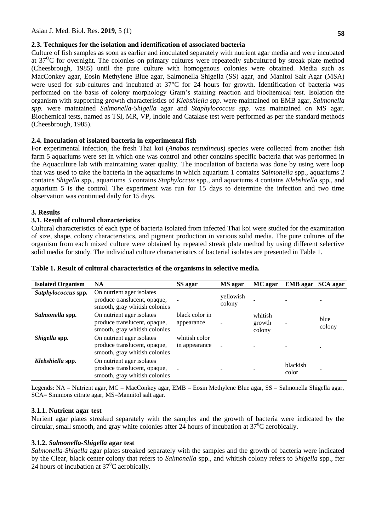#### **2.3. Techniques for the isolation and identification of associated bacteria**

Culture of fish samples as soon as earlier and inoculated separately with nutrient agar media and were incubated at  $37^{\circ}$ C for overnight. The colonies on primary cultures were repeatedly subcultured by streak plate method (Cheesbrough, 1985) until the pure culture with homogenous colonies were obtained. Media such as MacConkey agar, Eosin Methylene Blue agar, Salmonella Shigella (SS) agar, and Manitol Salt Agar (MSA) were used for sub-cultures and incubated at 37°C for 24 hours for growth. Identification of bacteria was performed on the basis of colony morphology Gram's staining reaction and biochemical test. Isolation the organism with supporting growth characteristics of *Klebshiella spp.* were maintained on EMB agar, *Salmonella spp.* were maintained *Salmonella-Shigella* agar and *Staphylococcus spp.* was maintained on MS agar. Biochemical tests, named as TSI, MR, VP, Indole and Catalase test were performed as per the standard methods (Cheesbrough, 1985).

### **2.4. Inoculation of isolated bacteria in experimental fish**

For **e**xperimental infection, the fresh Thai koi (*Anabas testudineus*) species were collected from another fish farm 5 aquariums were set in which one was control and other contains specific bacteria that was performed in the Aquaculture lab with maintaining water quality. The inoculation of bacteria was done by using were loop that was used to take the bacteria in the aquariums in which aquarium 1 contains *Salmonella* spp*.,* aquariums 2 contains *Shigella* spp*.,* aquariums 3 contains *Staphyloccus* spp., and aquariums 4 contains *Klebshiella* spp*.,* and aquarium 5 is the control*.* The experiment was run for 15 days to determine the infection and two time observation was continued daily for 15 days.

#### **3. Results**

### **3.1. Result of cultural characteristics**

Cultural characteristics of each type of bacteria isolated from infected Thai koi were studied for the examination of size, shape, colony characteristics, and pigment production in various solid media. The pure cultures of the organism from each mixed culture were obtained by repeated streak plate method by using different selective solid media for study. The individual culture characteristics of bacterial isolates are presented in Table 1.

| <b>Isolated Organism</b> | NA                                                                                         | SS agar                        | MS agar             | MC agar                     | <b>EMB</b> agar   | SCA agar       |
|--------------------------|--------------------------------------------------------------------------------------------|--------------------------------|---------------------|-----------------------------|-------------------|----------------|
| Satphylococcus spp.      | On nutrient ager isolates<br>produce translucent, opaque,<br>smooth, gray whitish colonies |                                | yellowish<br>colony |                             |                   |                |
| Salmonella spp.          | On nutrient ager isolates<br>produce translucent, opaque,<br>smooth, gray whitish colonies | black color in<br>appearance   |                     | whitish<br>growth<br>colony |                   | blue<br>colony |
| Shigella spp.            | On nutrient ager isolates<br>produce translucent, opaque,<br>smooth, gray whitish colonies | whitish color<br>in appearance |                     |                             |                   |                |
| Klebshiella spp.         | On nutrient ager isolates<br>produce translucent, opaque,<br>smooth, gray whitish colonies |                                |                     |                             | blackish<br>color |                |

#### **Table 1. Result of cultural characteristics of the organisms in selective media.**

Legends: NA = Nutrient agar, MC = MacConkey agar, EMB = Eosin Methylene Blue agar, SS = Salmonella Shigella agar, SCA= Simmons citrate agar, MS=Mannitol salt agar.

#### **3.1.1. Nutrient agar test**

Nurient agar plates streaked separately with the samples and the growth of bacteria were indicated by the circular, small smooth, and gray white colonies after 24 hours of incubation at  $37^{\circ}$ C aerobically.

#### **3.1.2.** *Salmonella-Shigella* **agar test**

*Salmonella-Shigella* agar plates streaked separately with the samples and the growth of bacteria were indicated by the Clear, black center colony that refers to *Salmonella* spp., and whitish colony refers to *Shigella* spp., fter 24 hours of incubation at  $37^{\circ}$ C aerobically.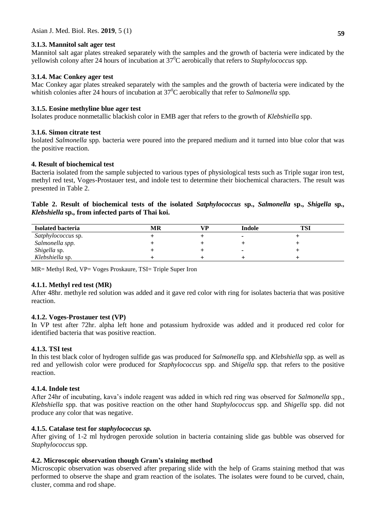#### **3.1.3. Mannitol salt ager test**

Mannitol salt agar plates streaked separately with the samples and the growth of bacteria were indicated by the yellowish colony after 24 hours of incubation at 37<sup>0</sup>C aerobically that refers to *Staphylococcus* spp*.* 

#### **3.1.4. Mac Conkey ager test**

Mac Conkey agar plates streaked separately with the samples and the growth of bacteria were indicated by the whitish colonies after 24 hours of incubation at 37<sup>o</sup>C aerobically that refer to *Salmonella* spp.

### **3.1.5. Eosine methyline blue ager test**

Isolates produce nonmetallic blackish color in EMB ager that refers to the growth of *Klebshiella* spp.

#### **3.1.6. Simon citrate test**

Isolated *Salmonella* spp*.* bacteria were poured into the prepared medium and it turned into blue color that was the positive reaction.

### **4. Result of biochemical test**

Bacteria isolated from the sample subjected to various types of physiological tests such as Triple sugar iron test, methyl red test, Voges-Prostauer test, and indole test to determine their biochemical characters. The result was presented in Table 2.

**Table 2. Result of biochemical tests of the isolated** *Satphylococcus* **sp.,** *Salmonella* **sp.,** *Shigella* **sp***., Klebshiella* **sp***.,* **from infected parts of Thai koi.**

| <b>Isolated bacteria</b> | МR | Indole | TSI |
|--------------------------|----|--------|-----|
| Satphylococcus sp.       |    |        |     |
| Salmonella spp.          |    |        |     |
| Shigella sp.             |    |        |     |
| Klebshiella sp.          |    |        |     |

MR= Methyl Red, VP= Voges Proskaure, TSI= Triple Super Iron

## **4.1.1. Methyl red test (MR)**

After 48hr. methyle red solution was added and it gave red color with ring for isolates bacteria that was positive reaction.

#### **4.1.2. Voges-Prostauer test (VP)**

In VP test after 72hr. alpha left hone and potassium hydroxide was added and it produced red color for identified bacteria that was positive reaction.

## **4.1.3. TSI test**

In this test black color of hydrogen sulfide gas was produced for *Salmonella* spp*.* and *Klebshiella* spp*.* as well as red and yellowish color were produced for *Staphylococcus* spp*.* and *Shigella* spp*.* that refers to the positive reaction.

#### **4.1.4. Indole test**

After 24hr of incubating, kava's indole reagent was added in which red ring was observed for *Salmonella* spp*.*, *Klebshiella* spp*.* that was positive reaction on the other hand *Staphylococcus* spp*.* and *Shigella* spp. did not produce any color that was negative.

#### **4.1.5. Catalase test for** *staphylococcus sp.*

After giving of 1-2 ml hydrogen peroxide solution in bacteria containing slide gas bubble was observed for *Staphylococcus* spp*.* 

## **4.2. Microscopic observation though Gram's staining method**

Microscopic observation was observed after preparing slide with the help of Grams staining method that was performed to observe the shape and gram reaction of the isolates. The isolates were found to be curved, chain, cluster, comma and rod shape.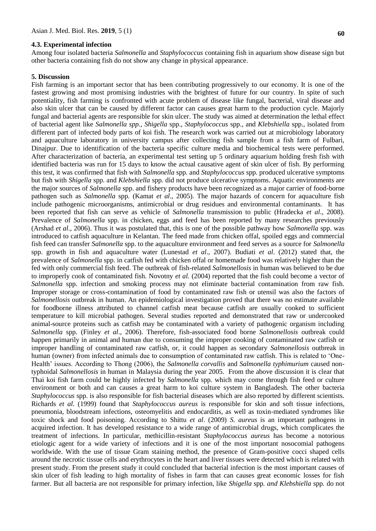**60**

#### **4.3. Experimental infection**

Among four isolated bacteria *Salmonella* and *Staphylococcus* containing fish in aquarium show disease sign but other bacteria containing fish do not show any change in physical appearance.

#### **5. Discussion**

Fish farming is an important sector that has been contributing progressively to our economy. It is one of the fastest growing and most promising industries with the brightest of future for our country. In spite of such potentiality, fish farming is confronted with acute problem of disease like fungal, bacterial, viral disease and also skin ulcer that can be caused by different factor can causes great harm to the production cycle. Majorly fungal and bacterial agents are responsible for skin ulcer. The study was aimed at determination the lethal effect of bacterial agent like *Salmonella spp.*, *Shigella* spp., *Staphylococcus* spp., and *Klebshiella* spp., isolated from different part of infected body parts of koi fish. The research work was carried out at microbiology laboratory and aquaculture laboratory in university campus after collecting fish sample from a fish farm of Fulbari, Dinajpur. Due to identification of the bacteria specific culture media and biochemical tests were performed. After characterization of bacteria, an experimental test setting up 5 ordinary aquarium holding fresh fish with identified bacteria was run for 15 days to know the actual causative agent of skin ulcer of fish. By performing this test, it was confirmed that fish with *Salmonella* spp*.* and *Staphylococcus* spp*.* produced ulcerative symptoms but fish with *Shigella* spp. and *Klebshiella* spp*.* did not produce ulcerative symptoms. Aquatic environments are the major sources of *Salmonella* spp. and fishery products have been recognized as a major carrier of food-borne pathogen such as *Salmonella* spp*.* (Kamat *et al*., 2005). The major hazards of concern for aquaculture fish include pathogenic microorganisms, antimicrobial or drug residues and environmental contaminants. It has been reported that fish can serve as vehicle of *Salmonella* transmission to public (Hradecka *et al*., 2008). Prevalence of *Salmonella* spp. in chicken, eggs and feed has been reported by many researches previously (Arshad *et al*., 2006). Thus it was postulated that, this is one of the possible pathway how *Salmonella* spp. was introduced to catfish aquaculture in Kelantan. The feed made from chicken offal, spoiled eggs and commercial fish feed can transfer *Salmonella* spp. to the aquaculture environment and feed serves as a source for *Salmonella*  spp. growth in fish and aquaculture water (Lunestad *et al*., 2007). Budiati *et al*. (2012) stated that, the prevalence of *Salmonella* spp. in catfish fed with chicken offal or homemade food was relatively higher than the fed with only commercial fish feed. The outbreak of fish-related *Salmonellosis* in human was believed to be due to improperly cook of contaminated fish. Novotny *et al.* (2004) reported that the fish could become a vector of *Salmonella* spp. infection and smoking process may not eliminate bacterial contamination from raw fish. Improper storage or cross-contamination of food by contaminated raw fish or utensil was also the factors of *Salmonellosis* outbreak in human. An epidemiological investigation proved that there was no estimate available for foodborne illness attributed to channel catfish meat because catfish are usually cooked to sufficient temperature to kill microbial pathogen. Several studies reported and demonstrated that raw or undercooked animal-source proteins such as catfish may be contaminated with a variety of pathogenic organism including *Salmonella* spp. (Finley *et al*., 2006). Therefore, fish-associated food borne *Salmonellosis* outbreak could happen primarily in animal and human due to consuming the improper cooking of contaminated raw catfish or improper handling of contaminated raw catfish, or, it could happen as secondary *Salmonellosis* outbreak in human (owner) from infected animals due to consumption of contaminated raw catfish. This is related to 'One-Health' issues. According to Thong (2006), the *Salmonella corvallis* and *Salmonella typhimurium* caused nontyphoidal *Salmonellosis* in human in Malaysia during the year 2005. From the above discussion it is clear that Thai koi fish farm could be highly infected by *Salmonella* spp*.* which may come through fish feed or culture environment or both and can causes a great harm to koi culture system in Bangladesh. The other bacteria *Staphylococcus* spp. is also responsible for fish bacterial diseases which are also reported by different scientists. Richards *et al.* (1999) found that *Staphylococcus aureus* is responsible for skin and soft tissue infections, pneumonia, bloodstream infections, osteomyelitis and endocarditis, as well as toxin-mediated syndromes like toxic shock and food poisoning. According to Shittu *et al*. (2009) *S. aureus* is an important pathogens in acquired infection. It has developed resistance to a wide range of antimicrobial drugs, which complicates the treatment of infections. In particular, methicillin-resistant *Staphylococcus aureus* has become a notorious etiologic agent for a wide variety of infections and it is one of the most important nosocomial pathogens worldwide. With the use of tissue Gram staining method, the presence of Gram-positive cocci shaped cells around the necrotic tissue cells and erythrocytes in the heart and liver tissues were detected which is related with present study. From the present study it could concluded that bacterial infection is the most important causes of skin ulcer of fish leading to high mortality of fishes in farm that can causes great economic losses for fish farmer. But all bacteria are not responsible for primary infection, like *Shigella* spp*. and Klebshiella* spp*.* do not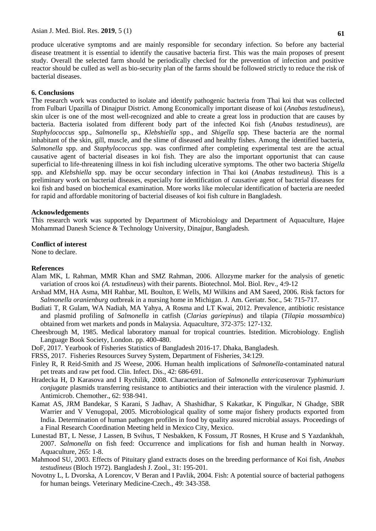produce ulcerative symptoms and are mainly responsible for secondary infection. So before any bacterial disease treatment it is essential to identify the causative bacteria first. This was the main proposes of present study. Overall the selected farm should be periodically checked for the prevention of infection and positive reactor should be culled as well as bio-security plan of the farms should be followed strictly to reduce the risk of bacterial diseases.

#### **6. Conclusions**

The research work was conducted to isolate and identify pathogenic bacteria from Thai koi that was collected from Fulbari Upazilla of Dinajpur District. Among Economically important disease of koi (*Anabas testudineus*), skin ulcer is one of the most well-recognized and able to create a great loss in production that are causes by bacteria. Bacteria isolated from different body part of the infected Koi fish (*Anabas testudineus*), are *Staphylococcus* spp., *Salmonella* sp., *Klebshiella* spp., and *Shigella* spp. These bacteria are the normal inhabitant of the skin, gill, muscle, and the slime of diseased and healthy fishes. Among the identified bacteria, *Salmonella* spp. and *Staphylococcus* spp. was confirmed after completing experimental test are the actual causative agent of bacterial diseases in koi fish. They are also the important opportunist that can cause superficial to life-threatening illness in koi fish including ulcerative symptoms. The other two bacteria *Shigella* spp. and *Klebshiella* spp. may be occur secondary infection in Thai koi (*Anabas testudineus).* This is a preliminary work on bacterial diseases, especially for identification of causative agent of bacterial diseases for koi fish and based on biochemical examination. More works like molecular identification of bacteria are needed for rapid and affordable monitoring of bacterial diseases of koi fish culture in Bangladesh.

#### **Acknowledgements**

This research work was supported by Department of Microbiology and Department of Aquaculture, Hajee Mohammad Danesh Science & Technology University, Dinajpur, Bangladesh.

#### **Conflict of interest**

None to declare.

#### **References**

- Alam MK, L Rahman, MMR Khan and SMZ Rahman, 2006. Allozyme marker for the analysis of genetic variation of croos koi *(A. testudineus*) with their parents. Biotechnol. Mol. Biol. Rev., 4:9-12
- Arshad MM, HA Asma, MH Rahbar, ML Boulton, E Wells, MJ Wilkins and AM Saeed, 2006. Risk factors for *Salmonella oranienburg* outbreak in a nursing home in Michigan. J. Am. Geriatr. Soc., 54: 715-717.
- Budiati T, R Gulam, WA Nadiah, MA Yahya, A Rosma and LT Kwai, 2012. Prevalence, antibiotic resistance and plasmid profiling of *Salmonella* in catfish (*Clarias gariepinus*) and tilapia (*Tilapia mossambica*) obtained from wet markets and ponds in Malaysia. Aquaculture, 372-375: 127-132.
- Cheesbrough M, 1985. Medical laboratory manual for tropical countries. Istedition. Microbiology. English Language Book Society, London. pp. 400-480.
- DoF, 2017. Yearbook of Fisheries Statistics of Bangladesh 2016-17. Dhaka, Bangladesh.
- FRSS, 2017. Fisheries Resources Survey System, Department of Fisheries, 34:129.
- Finley R, R Reid-Smith and JS Weese, 2006. Human health implications of *Salmonella*-contaminated natural pet treats and raw pet food. Clin. Infect. Dis., 42: 686-691.
- Hradecka H, D Karasova and I Rychilik, 2008. Characterization of *Salmonella enterica*serovar *Typhimurium conjugate* plasmids transferring resistance to antibiotics and their interaction with the virulence plasmid. J. Antimicrob. Chemother., 62: 938-941.
- Kamat AS, JRM Bandekar, S Karani, S Jadhav, A Shashidhar, S Kakatkar, K Pingulkar, N Ghadge, SBR Warrier and V Venugopal, 2005. Microbiological quality of some major fishery products exported from India. Determination of human pathogen profiles in food by quality assured microbial assays. Proceedings of a Final Research Coordination Meeting held in Mexico City, Mexico.
- Lunestad BT, L Nesse, J Lassen, B Svihus, T Nesbakken, K Fossum, JT Rosnes, H Kruse and S Yazdankhah, 2007. *Salmonella* on fish feed: Occurrence and implications for fish and human health in Norway. Aquaculture, 265: 1-8.
- Mahmood SU, 2003. Effects of Pituitary gland extracts doses on the breeding performance of Koi fish, *Anabas testudineus* (Bloch 1972). Bangladesh J. Zool., 31: 195-201.
- Novotny L, L Dvorska, A Lorencov, V Beran and I Pavlik, 2004. Fish: A potential source of bacterial pathogens for human beings. Veterinary Medicine-Czech., 49: 343-358.